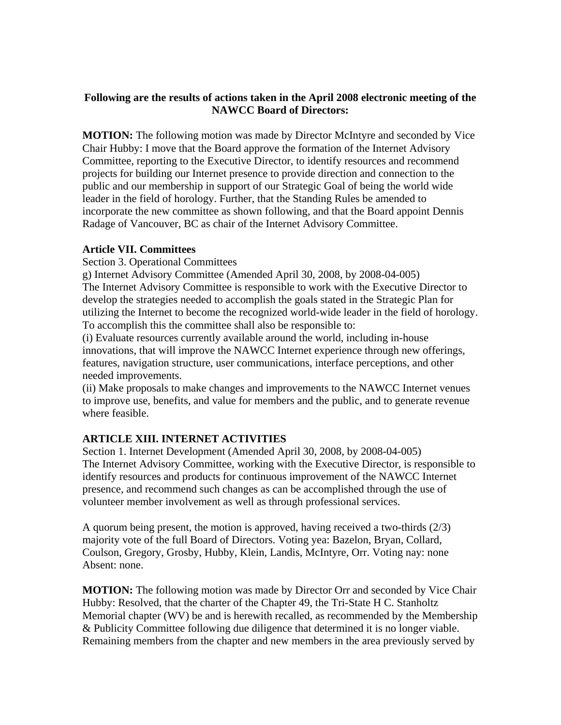## **Following are the results of actions taken in the April 2008 electronic meeting of the NAWCC Board of Directors:**

**MOTION:** The following motion was made by Director McIntyre and seconded by Vice Chair Hubby: I move that the Board approve the formation of the Internet Advisory Committee, reporting to the Executive Director, to identify resources and recommend projects for building our Internet presence to provide direction and connection to the public and our membership in support of our Strategic Goal of being the world wide leader in the field of horology. Further, that the Standing Rules be amended to incorporate the new committee as shown following, and that the Board appoint Dennis Radage of Vancouver, BC as chair of the Internet Advisory Committee.

## **Article VII. Committees**

Section 3. Operational Committees

g) Internet Advisory Committee (Amended April 30, 2008, by 2008-04-005) The Internet Advisory Committee is responsible to work with the Executive Director to develop the strategies needed to accomplish the goals stated in the Strategic Plan for utilizing the Internet to become the recognized world-wide leader in the field of horology. To accomplish this the committee shall also be responsible to:

(i) Evaluate resources currently available around the world, including in-house innovations, that will improve the NAWCC Internet experience through new offerings, features, navigation structure, user communications, interface perceptions, and other needed improvements.

(ii) Make proposals to make changes and improvements to the NAWCC Internet venues to improve use, benefits, and value for members and the public, and to generate revenue where feasible.

## **ARTICLE XIII. INTERNET ACTIVITIES**

Section 1. Internet Development (Amended April 30, 2008, by 2008-04-005) The Internet Advisory Committee, working with the Executive Director, is responsible to identify resources and products for continuous improvement of the NAWCC Internet presence, and recommend such changes as can be accomplished through the use of volunteer member involvement as well as through professional services.

A quorum being present, the motion is approved, having received a two-thirds (2/3) majority vote of the full Board of Directors. Voting yea: Bazelon, Bryan, Collard, Coulson, Gregory, Grosby, Hubby, Klein, Landis, McIntyre, Orr. Voting nay: none Absent: none.

**MOTION:** The following motion was made by Director Orr and seconded by Vice Chair Hubby: Resolved, that the charter of the Chapter 49, the Tri-State H C. Stanholtz Memorial chapter (WV) be and is herewith recalled, as recommended by the Membership & Publicity Committee following due diligence that determined it is no longer viable. Remaining members from the chapter and new members in the area previously served by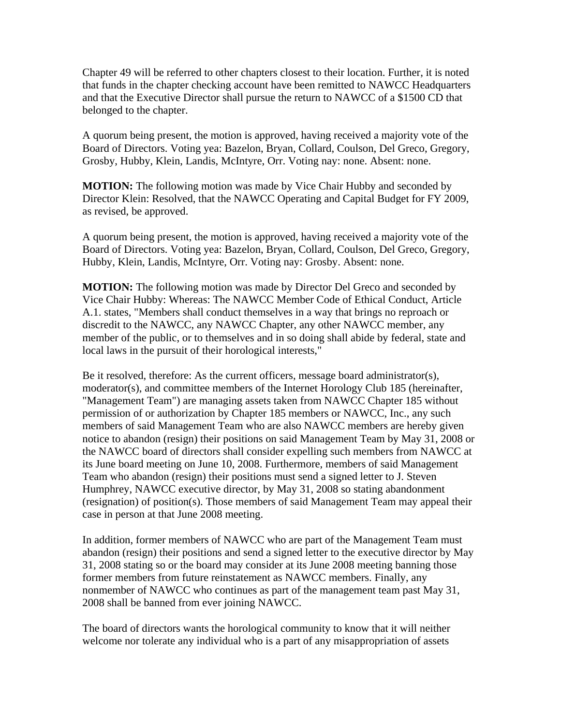Chapter 49 will be referred to other chapters closest to their location. Further, it is noted that funds in the chapter checking account have been remitted to NAWCC Headquarters and that the Executive Director shall pursue the return to NAWCC of a \$1500 CD that belonged to the chapter.

A quorum being present, the motion is approved, having received a majority vote of the Board of Directors. Voting yea: Bazelon, Bryan, Collard, Coulson, Del Greco, Gregory, Grosby, Hubby, Klein, Landis, McIntyre, Orr. Voting nay: none. Absent: none.

**MOTION:** The following motion was made by Vice Chair Hubby and seconded by Director Klein: Resolved, that the NAWCC Operating and Capital Budget for FY 2009, as revised, be approved.

A quorum being present, the motion is approved, having received a majority vote of the Board of Directors. Voting yea: Bazelon, Bryan, Collard, Coulson, Del Greco, Gregory, Hubby, Klein, Landis, McIntyre, Orr. Voting nay: Grosby. Absent: none.

**MOTION:** The following motion was made by Director Del Greco and seconded by Vice Chair Hubby: Whereas: The NAWCC Member Code of Ethical Conduct, Article A.1. states, "Members shall conduct themselves in a way that brings no reproach or discredit to the NAWCC, any NAWCC Chapter, any other NAWCC member, any member of the public, or to themselves and in so doing shall abide by federal, state and local laws in the pursuit of their horological interests,"

Be it resolved, therefore: As the current officers, message board administrator(s), moderator(s), and committee members of the Internet Horology Club 185 (hereinafter, "Management Team") are managing assets taken from NAWCC Chapter 185 without permission of or authorization by Chapter 185 members or NAWCC, Inc., any such members of said Management Team who are also NAWCC members are hereby given notice to abandon (resign) their positions on said Management Team by May 31, 2008 or the NAWCC board of directors shall consider expelling such members from NAWCC at its June board meeting on June 10, 2008. Furthermore, members of said Management Team who abandon (resign) their positions must send a signed letter to J. Steven Humphrey, NAWCC executive director, by May 31, 2008 so stating abandonment (resignation) of position(s). Those members of said Management Team may appeal their case in person at that June 2008 meeting.

In addition, former members of NAWCC who are part of the Management Team must abandon (resign) their positions and send a signed letter to the executive director by May 31, 2008 stating so or the board may consider at its June 2008 meeting banning those former members from future reinstatement as NAWCC members. Finally, any nonmember of NAWCC who continues as part of the management team past May 31, 2008 shall be banned from ever joining NAWCC.

The board of directors wants the horological community to know that it will neither welcome nor tolerate any individual who is a part of any misappropriation of assets